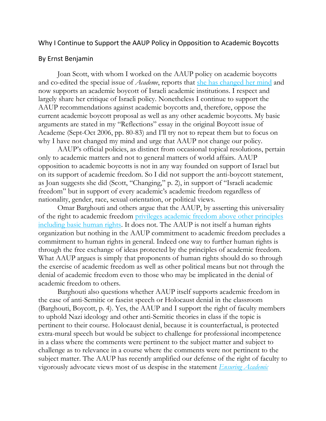## Why I Continue to Support the AAUP Policy in Opposition to Academic Boycotts

## By Ernst Benjamin

Joan Scott, with whom I worked on the AAUP policy on academic boycotts and co-edited the special issue of *Academe*, reports that [she has changed her mind](http://www.aaup.org/sites/default/files/files/JAF/2013%20JAF/Scott.pdf) and now supports an academic boycott of Israeli academic institutions. I respect and largely share her critique of Israeli policy. Nonetheless I continue to support the AAUP recommendations against academic boycotts and, therefore, oppose the current academic boycott proposal as well as any other academic boycotts. My basic arguments are stated in my "Reflections" essay in the original Boycott issue of Academe (Sept-Oct 2006, pp. 80-83) and I'll try not to repeat them but to focus on why I have not changed my mind and urge that AAUP not change our policy.

AAUP's official policies, as distinct from occasional topical resolutions, pertain only to academic matters and not to general matters of world affairs. AAUP opposition to academic boycotts is not in any way founded on support of Israel but on its support of academic freedom. So I did not support the anti-boycott statement, as Joan suggests she did (Scott, "Changing," p. 2), in support of "Israeli academic freedom" but in support of every academic's academic freedom regardless of nationality, gender, race, sexual orientation, or political views.

Omar Barghouti and others argue that the AAUP, by asserting this universality of the right to academic freedom [privileges academic freedom above other principles](http://www.aaup.org/sites/default/files/files/JAF/2013%20JAF/Barghouti.pdf)  [including basic human rights.](http://www.aaup.org/sites/default/files/files/JAF/2013%20JAF/Barghouti.pdf) It does not. The AAUP is not itself a human rights organization but nothing in the AAUP commitment to academic freedom precludes a commitment to human rights in general. Indeed one way to further human rights is through the free exchange of ideas protected by the principles of academic freedom. What AAUP argues is simply that proponents of human rights should do so through the exercise of academic freedom as well as other political means but not through the denial of academic freedom even to those who may be implicated in the denial of academic freedom to others.

Barghouti also questions whether AAUP itself supports academic freedom in the case of anti-Semitic or fascist speech or Holocaust denial in the classroom (Barghouti, Boycott, p. 4). Yes, the AAUP and I support the right of faculty members to uphold Nazi ideology and other anti-Semitic theories in class if the topic is pertinent to their course. Holocaust denial, because it is counterfactual, is protected extra-mural speech but would be subject to challenge for professional incompetence in a class where the comments were pertinent to the subject matter and subject to challenge as to relevance in a course where the comments were not pertinent to the subject matter. The AAUP has recently amplified our defense of the right of faculty to vigorously advocate views most of us despise in the statement *[Ensuring Academic](http://www.aaup.org/NR/rdonlyres/895B2C30-29F6-4A88-80B9-FCC4D23CF28B/0/PoliticallyControversialDecisionsreport.pdf)*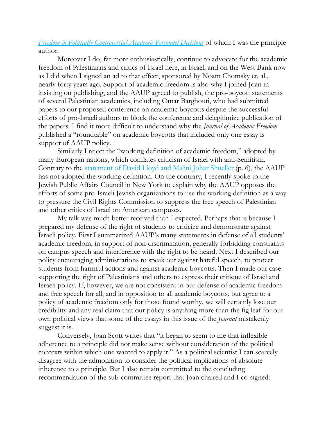## *Freedom in Politically [Controversial Academic](http://www.aaup.org/NR/rdonlyres/895B2C30-29F6-4A88-80B9-FCC4D23CF28B/0/PoliticallyControversialDecisionsreport.pdf) Personnel Decisions* of which I was the principle author.

Moreover I do, far more enthusiastically, continue to advocate for the academic freedom of Palestinians and critics of Israel here, in Israel, and on the West Bank now as I did when I signed an ad to that effect, sponsored by Noam Chomsky et. al., nearly forty years ago. Support of academic freedom is also why I joined Joan in insisting on publishing, and the AAUP agreed to publish, the pro-boycott statements of several Palestinian academics, including Omar Barghouti, who had submitted papers to our proposed conference on academic boycotts despite the successful efforts of pro-Israeli authors to block the conference and delegitimize publication of the papers. I find it more difficult to understand why the *Journal of Academic Freedom* published a "roundtable" on academic boycotts that included only one essay is support of AAUP policy.

Similarly I reject the "working definition of academic freedom," adopted by many European nations, which conflates criticism of Israel with anti-Semitism. Contrary to the [statement of David Lloyd and Malini Johar Shueller](http://www.aaup.org/sites/default/files/files/JAF/2013%20JAF/LloydSchueller.pdf) (p. 6), the AAUP has not adopted the working definition. On the contrary, I recently spoke to the Jewish Public Affairs Council in New York to explain why the AAUP opposes the efforts of some pro-Israeli Jewish organizations to use the working definition as a way to pressure the Civil Rights Commission to suppress the free speech of Palestinian and other critics of Israel on American campuses.

My talk was much better received than I expected. Perhaps that is because I prepared my defense of the right of students to criticize and demonstrate against Israeli policy. First I summarized AAUP's many statements in defense of all students' academic freedom, in support of non-discrimination, generally forbidding constraints on campus speech and interference with the right to be heard. Next I described our policy encouraging administrations to speak out against hateful speech, to protect students from harmful actions and against academic boycotts. Then I made our case supporting the right of Palestinians and others to express their critique of Israel and Israeli policy. If, however, we are not consistent in our defense of academic freedom and free speech for all, and in opposition to all academic boycotts, but agree to a policy of academic freedom only for those found worthy, we will certainly lose our credibility and any real claim that our policy is anything more than the fig leaf for our own political views that some of the essays in this issue of the *Journal* mistakenly suggest it is.

Conversely, Joan Scott writes that "it began to seem to me that inflexible adherence to a principle did not make sense without consideration of the political contexts within which one wanted to apply it." As a political scientist I can scarcely disagree with the admonition to consider the political implications of absolute inherence to a principle. But I also remain committed to the concluding recommendation of the sub-committee report that Joan chaired and I co-signed: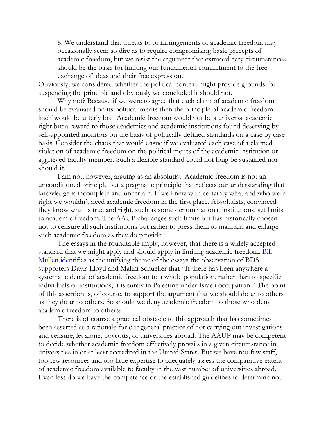8. We understand that threats to or infringements of academic freedom may occasionally seem so dire as to require compromising basic precepts of academic freedom, but we resist the argument that extraordinary circumstances should be the basis for limiting our fundamental commitment to the free exchange of ideas and their free expression.

Obviously, we considered whether the political context might provide grounds for suspending the principle and obviously we concluded it should not.

Why not? Because if we were to agree that each claim of academic freedom should be evaluated on its political merits then the principle of academic freedom itself would be utterly lost. Academic freedom would not be a universal academic right but a reward to those academics and academic institutions found deserving by self-appointed monitors on the basis of politically defined standards on a case by case basis. Consider the chaos that would ensue if we evaluated each case of a claimed violation of academic freedom on the political merits of the academic institution or aggrieved faculty member. Such a flexible standard could not long be sustained nor should it.

I am not, however, arguing as an absolutist. Academic freedom is not an unconditioned principle but a pragmatic principle that reflects our understanding that knowledge is incomplete and uncertain. If we knew with certainty what and who were right we wouldn't need academic freedom in the first place. Absolutists, convinced they know what is true and right, such as some denominational institutions, set limits to academic freedom. The AAUP challenges such limits but has historically chosen not to censure all such institutions but rather to press them to maintain and enlarge such academic freedom as they do provide.

The essays in the roundtable imply, however, that there is a widely accepted standard that we might apply and should apply in limiting academic freedom. Bill [Mullen identifies](http://www.aaup.org/sites/default/files/files/JAF/2013%20JAF/Mullen.pdf) as the unifying theme of the essays the observation of BDS supporters Davis Lloyd and Malini Schueller that "If there has been anywhere a systematic denial of academic freedom to a whole population, rather than to specific individuals or institutions, it is surely in Palestine under Israeli occupation." The point of this assertion is, of course, to support the argument that we should do unto others as they do unto others. So should we deny academic freedom to those who deny academic freedom to others?

There is of course a practical obstacle to this approach that has sometimes been asserted as a rationale for our general practice of not carrying out investigations and censure, let alone, boycotts, of universities abroad. The AAUP may be competent to decide whether academic freedom effectively prevails in a given circumstance in universities in or at least accredited in the United States. But we have too few staff, too few resources and too little expertise to adequately assess the comparative extent of academic freedom available to faculty in the vast number of universities abroad. Even less do we have the competence or the established guidelines to determine not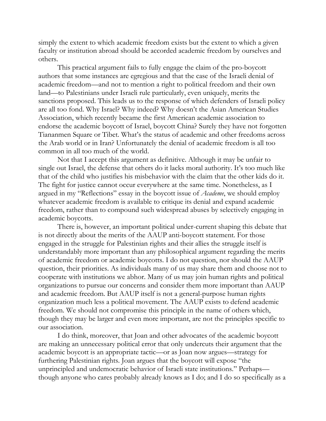simply the extent to which academic freedom exists but the extent to which a given faculty or institution abroad should be accorded academic freedom by ourselves and others.

This practical argument fails to fully engage the claim of the pro-boycott authors that some instances are egregious and that the case of the Israeli denial of academic freedom—and not to mention a right to political freedom and their own land—to Palestinians under Israeli rule particularly, even uniquely, merits the sanctions proposed. This leads us to the response of which defenders of Israeli policy are all too fond. Why Israel? Why indeed? Why doesn't the Asian American Studies Association, which recently became the first American academic association to endorse the academic boycott of Israel, boycott China? Surely they have not forgotten Tiananmen Square or Tibet. What's the status of academic and other freedoms across the Arab world or in Iran? Unfortunately the denial of academic freedom is all too common in all too much of the world.

Not that I accept this argument as definitive. Although it may be unfair to single out Israel, the defense that others do it lacks moral authority. It's too much like that of the child who justifies his misbehavior with the claim that the other kids do it. The fight for justice cannot occur everywhere at the same time. Nonetheless, as I argued in my "Reflections" essay in the boycott issue of *Academe*, we should employ whatever academic freedom is available to critique its denial and expand academic freedom, rather than to compound such widespread abuses by selectively engaging in academic boycotts.

There is, however, an important political under-current shaping this debate that is not directly about the merits of the AAUP anti-boycott statement. For those engaged in the struggle for Palestinian rights and their allies the struggle itself is understandably more important than any philosophical argument regarding the merits of academic freedom or academic boycotts. I do not question, nor should the AAUP question, their priorities. As individuals many of us may share them and choose not to cooperate with institutions we abhor. Many of us may join human rights and political organizations to pursue our concerns and consider them more important than AAUP and academic freedom. But AAUP itself is not a general-purpose human rights organization much less a political movement. The AAUP exists to defend academic freedom. We should not compromise this principle in the name of others which, though they may be larger and even more important, are not the principles specific to our association.

I do think, moreover, that Joan and other advocates of the academic boycott are making an unnecessary political error that only undercuts their argument that the academic boycott is an appropriate tactic—or as Joan now argues—strategy for furthering Palestinian rights. Joan argues that the boycott will expose "the unprincipled and undemocratic behavior of Israeli state institutions." Perhaps though anyone who cares probably already knows as I do; and I do so specifically as a